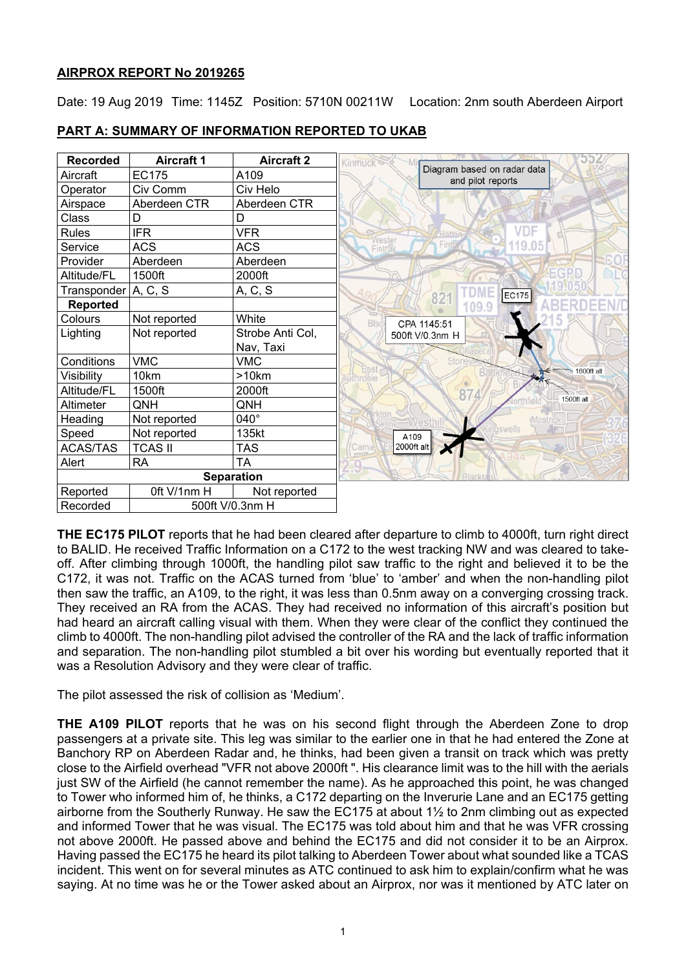## **AIRPROX REPORT No 2019265**

Date: 19 Aug 2019 Time: 1145Z Position: 5710N 00211W Location: 2nm south Aberdeen Airport

| <b>Recorded</b>       | <b>Aircraft 1</b> | <b>Aircraft 2</b> | Kinmuc                                           |
|-----------------------|-------------------|-------------------|--------------------------------------------------|
| Aircraft              | <b>EC175</b>      | A109              | Diagram based on radar data<br>and pilot reports |
| Operator              | Civ Comm          | Civ Helo          |                                                  |
| Airspace              | Aberdeen CTR      | Aberdeen CTR      |                                                  |
| Class                 | D                 | D                 |                                                  |
| <b>Rules</b>          | <b>IFR</b>        | <b>VFR</b>        | VDF<br><b>Hatto</b>                              |
| Service               | <b>ACS</b>        | <b>ACS</b>        | Wester<br>Fintray<br>119.05<br>Fintray           |
| Provider              | Aberdeen          | Aberdeen          |                                                  |
| Altitude/FL           | 1500ft            | 2000ft            |                                                  |
| Transponder   A, C, S |                   | A, C, S           | EC175                                            |
| <b>Reported</b>       |                   |                   | 821<br>109.9                                     |
| Colours               | Not reported      | White             | Blad<br>CPA 1145:51                              |
| Lighting              | Not reported      | Strobe Anti Col,  | 500ft V/0.3nm H                                  |
|                       |                   | Nav, Taxi         |                                                  |
| Conditions            | <b>VMC</b>        | <b>VMC</b>        | Stone<br>Eas                                     |
| Visibility            | 10km              | >10km             | 1600ft alt<br><b>Uchronie</b>                    |
| Altitude/FL           | 1500ft            | 2000ft            | 87                                               |
| Altimeter             | QNH               | QNH               | 1500ft alt                                       |
| Heading               | Not reported      | 040°              | <b>Mast</b>                                      |
| Speed                 | Not reported      | 135kt             | àswells<br>A109                                  |
| <b>ACAS/TAS</b>       | <b>TCAS II</b>    | <b>TAS</b>        | Cami<br>2000ft alt                               |
| Alert                 | <b>RA</b>         | TA                |                                                  |
| <b>Separation</b>     |                   |                   |                                                  |
| Reported              | Oft V/1nm H       | Not reported      |                                                  |
| Recorded              | 500ft V/0.3nm H   |                   |                                                  |

## **PART A: SUMMARY OF INFORMATION REPORTED TO UKAB**

**THE EC175 PILOT** reports that he had been cleared after departure to climb to 4000ft, turn right direct to BALID. He received Traffic Information on a C172 to the west tracking NW and was cleared to takeoff. After climbing through 1000ft, the handling pilot saw traffic to the right and believed it to be the C172, it was not. Traffic on the ACAS turned from 'blue' to 'amber' and when the non-handling pilot then saw the traffic, an A109, to the right, it was less than 0.5nm away on a converging crossing track. They received an RA from the ACAS. They had received no information of this aircraft's position but had heard an aircraft calling visual with them. When they were clear of the conflict they continued the climb to 4000ft. The non-handling pilot advised the controller of the RA and the lack of traffic information and separation. The non-handling pilot stumbled a bit over his wording but eventually reported that it was a Resolution Advisory and they were clear of traffic.

The pilot assessed the risk of collision as 'Medium'.

**THE A109 PILOT** reports that he was on his second flight through the Aberdeen Zone to drop passengers at a private site. This leg was similar to the earlier one in that he had entered the Zone at Banchory RP on Aberdeen Radar and, he thinks, had been given a transit on track which was pretty close to the Airfield overhead "VFR not above 2000ft ". His clearance limit was to the hill with the aerials just SW of the Airfield (he cannot remember the name). As he approached this point, he was changed to Tower who informed him of, he thinks, a C172 departing on the Inverurie Lane and an EC175 getting airborne from the Southerly Runway. He saw the EC175 at about 1½ to 2nm climbing out as expected and informed Tower that he was visual. The EC175 was told about him and that he was VFR crossing not above 2000ft. He passed above and behind the EC175 and did not consider it to be an Airprox. Having passed the EC175 he heard its pilot talking to Aberdeen Tower about what sounded like a TCAS incident. This went on for several minutes as ATC continued to ask him to explain/confirm what he was saying. At no time was he or the Tower asked about an Airprox, nor was it mentioned by ATC later on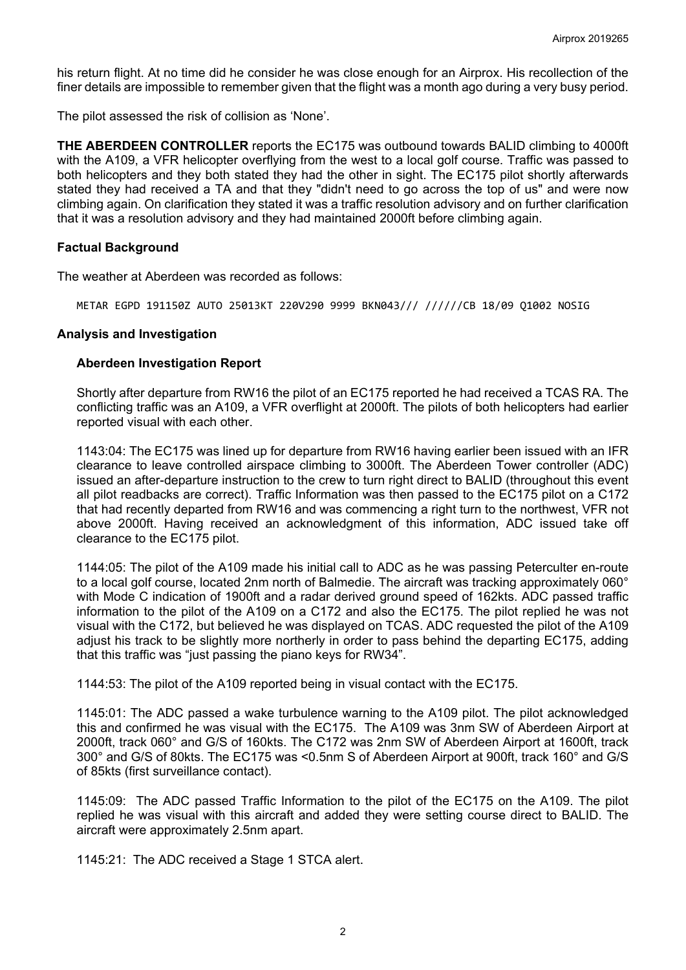his return flight. At no time did he consider he was close enough for an Airprox. His recollection of the finer details are impossible to remember given that the flight was a month ago during a very busy period.

The pilot assessed the risk of collision as 'None'.

**THE ABERDEEN CONTROLLER** reports the EC175 was outbound towards BALID climbing to 4000ft with the A109, a VFR helicopter overflying from the west to a local golf course. Traffic was passed to both helicopters and they both stated they had the other in sight. The EC175 pilot shortly afterwards stated they had received a TA and that they "didn't need to go across the top of us" and were now climbing again. On clarification they stated it was a traffic resolution advisory and on further clarification that it was a resolution advisory and they had maintained 2000ft before climbing again.

#### **Factual Background**

The weather at Aberdeen was recorded as follows:

METAR EGPD 191150Z AUTO 25013KT 220V290 9999 BKN043/// //////CB 18/09 Q1002 NOSIG

#### **Analysis and Investigation**

#### **Aberdeen Investigation Report**

Shortly after departure from RW16 the pilot of an EC175 reported he had received a TCAS RA. The conflicting traffic was an A109, a VFR overflight at 2000ft. The pilots of both helicopters had earlier reported visual with each other.

1143:04: The EC175 was lined up for departure from RW16 having earlier been issued with an IFR clearance to leave controlled airspace climbing to 3000ft. The Aberdeen Tower controller (ADC) issued an after-departure instruction to the crew to turn right direct to BALID (throughout this event all pilot readbacks are correct). Traffic Information was then passed to the EC175 pilot on a C172 that had recently departed from RW16 and was commencing a right turn to the northwest, VFR not above 2000ft. Having received an acknowledgment of this information, ADC issued take off clearance to the EC175 pilot.

1144:05: The pilot of the A109 made his initial call to ADC as he was passing Peterculter en-route to a local golf course, located 2nm north of Balmedie. The aircraft was tracking approximately 060° with Mode C indication of 1900ft and a radar derived ground speed of 162kts. ADC passed traffic information to the pilot of the A109 on a C172 and also the EC175. The pilot replied he was not visual with the C172, but believed he was displayed on TCAS. ADC requested the pilot of the A109 adjust his track to be slightly more northerly in order to pass behind the departing EC175, adding that this traffic was "just passing the piano keys for RW34".

1144:53: The pilot of the A109 reported being in visual contact with the EC175.

1145:01: The ADC passed a wake turbulence warning to the A109 pilot. The pilot acknowledged this and confirmed he was visual with the EC175. The A109 was 3nm SW of Aberdeen Airport at 2000ft, track 060° and G/S of 160kts. The C172 was 2nm SW of Aberdeen Airport at 1600ft, track 300° and G/S of 80kts. The EC175 was <0.5nm S of Aberdeen Airport at 900ft, track 160° and G/S of 85kts (first surveillance contact).

1145:09: The ADC passed Traffic Information to the pilot of the EC175 on the A109. The pilot replied he was visual with this aircraft and added they were setting course direct to BALID. The aircraft were approximately 2.5nm apart.

1145:21: The ADC received a Stage 1 STCA alert.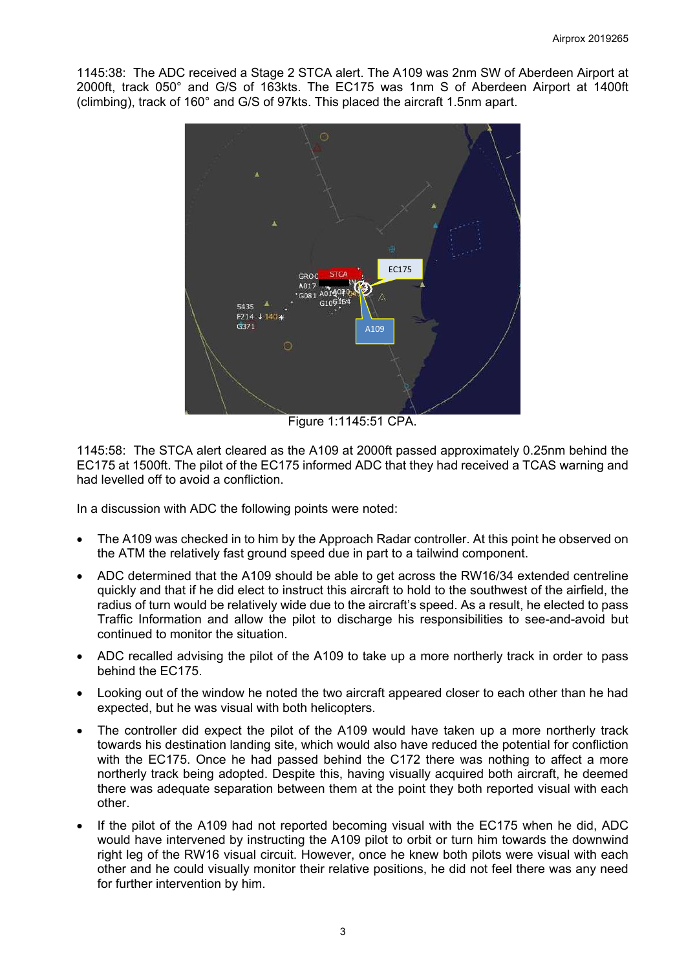1145:38: The ADC received a Stage 2 STCA alert. The A109 was 2nm SW of Aberdeen Airport at 2000ft, track 050° and G/S of 163kts. The EC175 was 1nm S of Aberdeen Airport at 1400ft (climbing), track of 160° and G/S of 97kts. This placed the aircraft 1.5nm apart.



1145:58: The STCA alert cleared as the A109 at 2000ft passed approximately 0.25nm behind the EC175 at 1500ft. The pilot of the EC175 informed ADC that they had received a TCAS warning and had levelled off to avoid a confliction.

In a discussion with ADC the following points were noted:

- The A109 was checked in to him by the Approach Radar controller. At this point he observed on the ATM the relatively fast ground speed due in part to a tailwind component.
- ADC determined that the A109 should be able to get across the RW16/34 extended centreline quickly and that if he did elect to instruct this aircraft to hold to the southwest of the airfield, the radius of turn would be relatively wide due to the aircraft's speed. As a result, he elected to pass Traffic Information and allow the pilot to discharge his responsibilities to see-and-avoid but continued to monitor the situation.
- ADC recalled advising the pilot of the A109 to take up a more northerly track in order to pass behind the EC175.
- Looking out of the window he noted the two aircraft appeared closer to each other than he had expected, but he was visual with both helicopters.
- The controller did expect the pilot of the A109 would have taken up a more northerly track towards his destination landing site, which would also have reduced the potential for confliction with the EC175. Once he had passed behind the C172 there was nothing to affect a more northerly track being adopted. Despite this, having visually acquired both aircraft, he deemed there was adequate separation between them at the point they both reported visual with each other.
- If the pilot of the A109 had not reported becoming visual with the EC175 when he did, ADC would have intervened by instructing the A109 pilot to orbit or turn him towards the downwind right leg of the RW16 visual circuit. However, once he knew both pilots were visual with each other and he could visually monitor their relative positions, he did not feel there was any need for further intervention by him.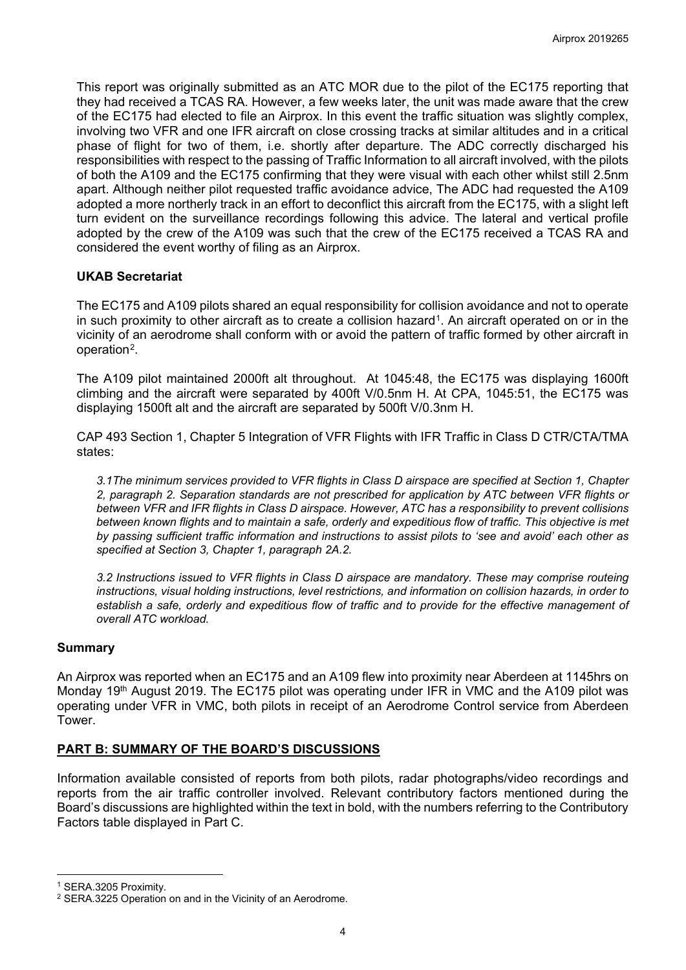This report was originally submitted as an ATC MOR due to the pilot of the EC175 reporting that they had received a TCAS RA. However, a few weeks later, the unit was made aware that the crew of the EC175 had elected to file an Airprox. In this event the traffic situation was slightly complex, involving two VFR and one IFR aircraft on close crossing tracks at similar altitudes and in a critical phase of flight for two of them, i.e. shortly after departure. The ADC correctly discharged his responsibilities with respect to the passing of Traffic Information to all aircraft involved, with the pilots of both the A109 and the EC175 confirming that they were visual with each other whilst still 2.5nm apart. Although neither pilot requested traffic avoidance advice, The ADC had requested the A109 adopted a more northerly track in an effort to deconflict this aircraft from the EC175, with a slight left turn evident on the surveillance recordings following this advice. The lateral and vertical profile adopted by the crew of the A109 was such that the crew of the EC175 received a TCAS RA and considered the event worthy of filing as an Airprox.

## **UKAB Secretariat**

The EC175 and A109 pilots shared an equal responsibility for collision avoidance and not to operate in such proximity to other aircraft as to create a collision hazard<sup>[1](#page-3-0)</sup>. An aircraft operated on or in the vicinity of an aerodrome shall conform with or avoid the pattern of traffic formed by other aircraft in operation[2.](#page-3-1)

The A109 pilot maintained 2000ft alt throughout. At 1045:48, the EC175 was displaying 1600ft climbing and the aircraft were separated by 400ft V/0.5nm H. At CPA, 1045:51, the EC175 was displaying 1500ft alt and the aircraft are separated by 500ft V/0.3nm H.

CAP 493 Section 1, Chapter 5 Integration of VFR Flights with IFR Traffic in Class D CTR/CTA/TMA states:

*3.1The minimum services provided to VFR flights in Class D airspace are specified at Section 1, Chapter 2, paragraph 2. Separation standards are not prescribed for application by ATC between VFR flights or between VFR and IFR flights in Class D airspace. However, ATC has a responsibility to prevent collisions between known flights and to maintain a safe, orderly and expeditious flow of traffic. This objective is met by passing sufficient traffic information and instructions to assist pilots to 'see and avoid' each other as specified at Section 3, Chapter 1, paragraph 2A.2.*

*3.2 Instructions issued to VFR flights in Class D airspace are mandatory. These may comprise routeing instructions, visual holding instructions, level restrictions, and information on collision hazards, in order to establish a safe, orderly and expeditious flow of traffic and to provide for the effective management of overall ATC workload.*

### **Summary**

An Airprox was reported when an EC175 and an A109 flew into proximity near Aberdeen at 1145hrs on Monday 19<sup>th</sup> August 2019. The EC175 pilot was operating under IFR in VMC and the A109 pilot was operating under VFR in VMC, both pilots in receipt of an Aerodrome Control service from Aberdeen Tower.

### **PART B: SUMMARY OF THE BOARD'S DISCUSSIONS**

Information available consisted of reports from both pilots, radar photographs/video recordings and reports from the air traffic controller involved. Relevant contributory factors mentioned during the Board's discussions are highlighted within the text in bold, with the numbers referring to the Contributory Factors table displayed in Part C.

 $\overline{\phantom{a}}$ 

<span id="page-3-0"></span><sup>1</sup> SERA.3205 Proximity.

<span id="page-3-1"></span><sup>2</sup> SERA.3225 Operation on and in the Vicinity of an Aerodrome.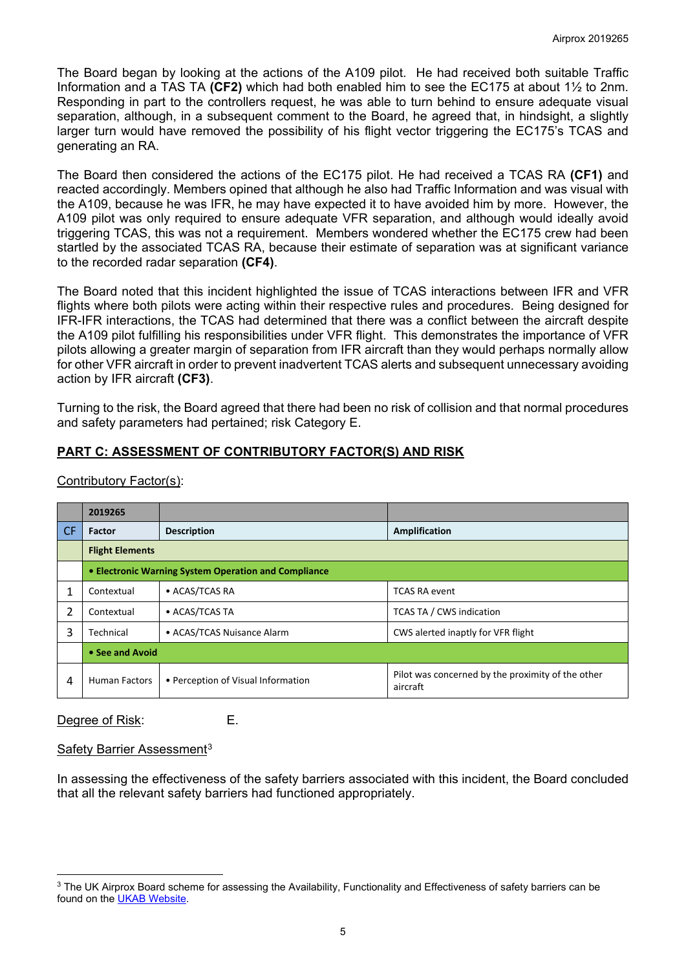The Board began by looking at the actions of the A109 pilot. He had received both suitable Traffic Information and a TAS TA **(CF2)** which had both enabled him to see the EC175 at about 1½ to 2nm. Responding in part to the controllers request, he was able to turn behind to ensure adequate visual separation, although, in a subsequent comment to the Board, he agreed that, in hindsight, a slightly larger turn would have removed the possibility of his flight vector triggering the EC175's TCAS and generating an RA.

The Board then considered the actions of the EC175 pilot. He had received a TCAS RA **(CF1)** and reacted accordingly. Members opined that although he also had Traffic Information and was visual with the A109, because he was IFR, he may have expected it to have avoided him by more. However, the A109 pilot was only required to ensure adequate VFR separation, and although would ideally avoid triggering TCAS, this was not a requirement. Members wondered whether the EC175 crew had been startled by the associated TCAS RA, because their estimate of separation was at significant variance to the recorded radar separation **(CF4)**.

The Board noted that this incident highlighted the issue of TCAS interactions between IFR and VFR flights where both pilots were acting within their respective rules and procedures. Being designed for IFR-IFR interactions, the TCAS had determined that there was a conflict between the aircraft despite the A109 pilot fulfilling his responsibilities under VFR flight. This demonstrates the importance of VFR pilots allowing a greater margin of separation from IFR aircraft than they would perhaps normally allow for other VFR aircraft in order to prevent inadvertent TCAS alerts and subsequent unnecessary avoiding action by IFR aircraft **(CF3)**.

Turning to the risk, the Board agreed that there had been no risk of collision and that normal procedures and safety parameters had pertained; risk Category E.

# **PART C: ASSESSMENT OF CONTRIBUTORY FACTOR(S) AND RISK**

|           | 2019265                                              |                                    |                                                               |  |  |
|-----------|------------------------------------------------------|------------------------------------|---------------------------------------------------------------|--|--|
| <b>CF</b> | <b>Factor</b>                                        | <b>Description</b>                 | Amplification                                                 |  |  |
|           | <b>Flight Elements</b>                               |                                    |                                                               |  |  |
|           | • Electronic Warning System Operation and Compliance |                                    |                                                               |  |  |
|           | Contextual                                           | • ACAS/TCAS RA                     | <b>TCAS RA event</b>                                          |  |  |
| 2         | Contextual                                           | • ACAS/TCAS TA                     | <b>TCAS TA / CWS indication</b>                               |  |  |
| 3         | Technical                                            | • ACAS/TCAS Nuisance Alarm         | CWS alerted inaptly for VFR flight                            |  |  |
|           | • See and Avoid                                      |                                    |                                                               |  |  |
| 4         | <b>Human Factors</b>                                 | • Perception of Visual Information | Pilot was concerned by the proximity of the other<br>aircraft |  |  |

Contributory Factor(s):

Degree of Risk: E.

### Safety Barrier Assessment<sup>[3](#page-4-0)</sup>

In assessing the effectiveness of the safety barriers associated with this incident, the Board concluded that all the relevant safety barriers had functioned appropriately.

<span id="page-4-0"></span> $\overline{\phantom{a}}$ <sup>3</sup> The UK Airprox Board scheme for assessing the Availability, Functionality and Effectiveness of safety barriers can be found on the [UKAB Website.](http://www.airproxboard.org.uk/Learn-more/Airprox-Barrier-Assessment/)